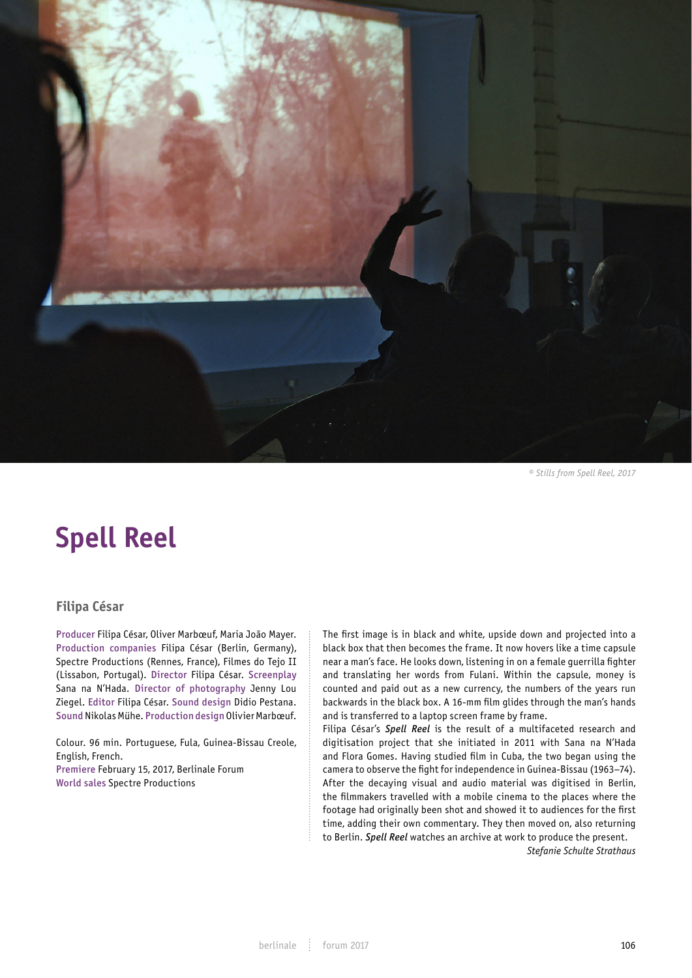

*© Stills from Spell Reel, 2017*

# **Spell Reel**

# **Filipa César**

Producer Filipa César, Oliver Marbœuf, Maria João Mayer. Production companies Filipa César (Berlin, Germany), Spectre Productions (Rennes, France), Filmes do Tejo II (Lissabon, Portugal). Director Filipa César. Screenplay Sana na N'Hada. Director of photography Jenny Lou Ziegel. Editor Filipa César. Sound design Didio Pestana. Sound Nikolas Mühe. Production design Olivier Marbœuf.

Colour. 96 min. Portuguese, Fula, Guinea-Bissau Creole, English, French.

Premiere February 15, 2017, Berlinale Forum World sales Spectre Productions

The first image is in black and white, upside down and projected into a black box that then becomes the frame. It now hovers like a time capsule near a man's face. He looks down, listening in on a female guerrilla fighter and translating her words from Fulani. Within the capsule, money is counted and paid out as a new currency, the numbers of the years run backwards in the black box. A 16-mm film glides through the man's hands and is transferred to a laptop screen frame by frame.

Filipa César's *Spell Reel* is the result of a multifaceted research and digitisation project that she initiated in 2011 with Sana na N'Hada and Flora Gomes. Having studied film in Cuba, the two began using the camera to observe the fight for independence in Guinea-Bissau (1963–74). After the decaying visual and audio material was digitised in Berlin, the filmmakers travelled with a mobile cinema to the places where the footage had originally been shot and showed it to audiences for the first time, adding their own commentary. They then moved on, also returning to Berlin. *Spell Reel* watches an archive at work to produce the present.

*Stefanie Schulte Strathaus*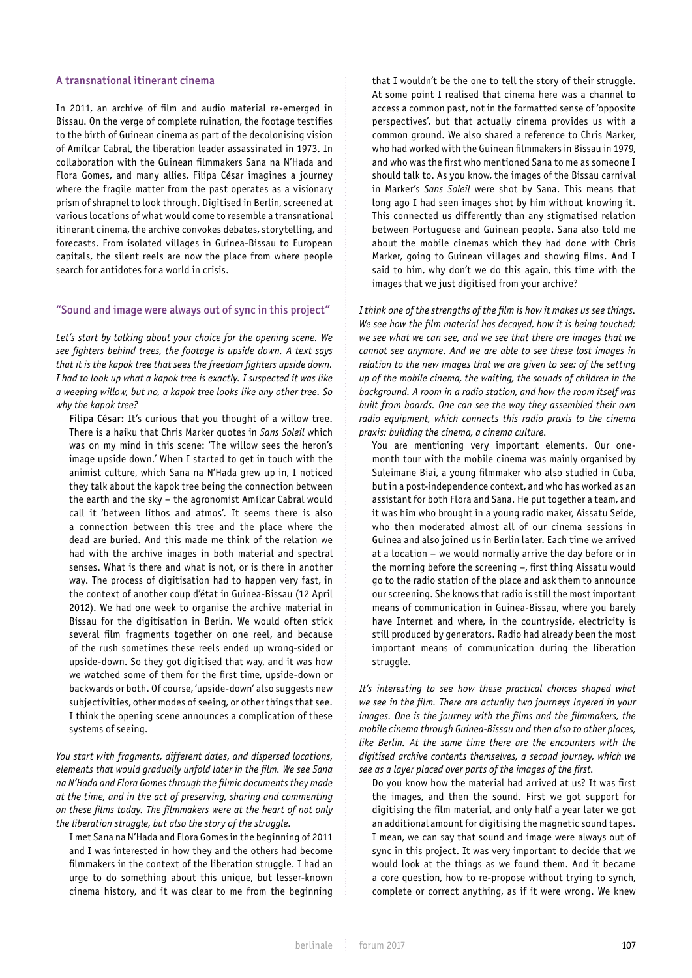#### A transnational itinerant cinema

In 2011, an archive of film and audio material re-emerged in Bissau. On the verge of complete ruination, the footage testifies to the birth of Guinean cinema as part of the decolonising vision of Amílcar Cabral, the liberation leader assassinated in 1973. In collaboration with the Guinean filmmakers Sana na N'Hada and Flora Gomes, and many allies, Filipa César imagines a journey where the fragile matter from the past operates as a visionary prism of shrapnel to look through. Digitised in Berlin, screened at various locations of what would come to resemble a transnational itinerant cinema, the archive convokes debates, storytelling, and forecasts. From isolated villages in Guinea-Bissau to European capitals, the silent reels are now the place from where people search for antidotes for a world in crisis.

### "Sound and image were always out of sync in this project"

*Let's start by talking about your choice for the opening scene. We see fighters behind trees, the footage is upside down. A text says that it is the kapok tree that sees the freedom fighters upside down. I had to look up what a kapok tree is exactly. I suspected it was like a weeping willow, but no, a kapok tree looks like any other tree. So why the kapok tree?*

Filipa César: It's curious that you thought of a willow tree. There is a haiku that Chris Marker quotes in *Sans Soleil* which was on my mind in this scene: 'The willow sees the heron's image upside down.' When I started to get in touch with the animist culture, which Sana na N'Hada grew up in, I noticed they talk about the kapok tree being the connection between the earth and the sky – the agronomist Amílcar Cabral would call it 'between lithos and atmos'. It seems there is also a connection between this tree and the place where the dead are buried. And this made me think of the relation we had with the archive images in both material and spectral senses. What is there and what is not, or is there in another way. The process of digitisation had to happen very fast, in the context of another coup d'état in Guinea-Bissau (12 April 2012). We had one week to organise the archive material in Bissau for the digitisation in Berlin. We would often stick several film fragments together on one reel, and because of the rush sometimes these reels ended up wrong-sided or upside-down. So they got digitised that way, and it was how we watched some of them for the first time, upside-down or backwards or both. Of course, 'upside-down' also suggests new subjectivities, other modes of seeing, or other things that see. I think the opening scene announces a complication of these systems of seeing.

*You start with fragments, different dates, and dispersed locations, elements that would gradually unfold later in the film. We see Sana na N'Hada and Flora Gomes through the filmic documents they made at the time, and in the act of preserving, sharing and commenting on these films today. The filmmakers were at the heart of not only the liberation struggle, but also the story of the struggle.* 

I met Sana na N'Hada and Flora Gomes in the beginning of 2011 and I was interested in how they and the others had become filmmakers in the context of the liberation struggle. I had an urge to do something about this unique, but lesser-known cinema history, and it was clear to me from the beginning that I wouldn't be the one to tell the story of their struggle. At some point I realised that cinema here was a channel to access a common past, not in the formatted sense of 'opposite perspectives', but that actually cinema provides us with a common ground. We also shared a reference to Chris Marker, who had worked with the Guinean filmmakers in Bissau in 1979, and who was the first who mentioned Sana to me as someone I should talk to. As you know, the images of the Bissau carnival in Marker's *Sans Soleil* were shot by Sana. This means that long ago I had seen images shot by him without knowing it. This connected us differently than any stigmatised relation between Portuguese and Guinean people. Sana also told me about the mobile cinemas which they had done with Chris Marker, going to Guinean villages and showing films. And I said to him, why don't we do this again, this time with the images that we just digitised from your archive?

*I think one of the strengths of the film is how it makes us see things. We see how the film material has decayed, how it is being touched; we see what we can see, and we see that there are images that we cannot see anymore. And we are able to see these lost images in relation to the new images that we are given to see: of the setting up of the mobile cinema, the waiting, the sounds of children in the background. A room in a radio station, and how the room itself was built from boards. One can see the way they assembled their own radio equipment, which connects this radio praxis to the cinema praxis: building the cinema, a cinema culture.* 

You are mentioning very important elements. Our onemonth tour with the mobile cinema was mainly organised by Suleimane Biai, a young filmmaker who also studied in Cuba, but in a post-independence context, and who has worked as an assistant for both Flora and Sana. He put together a team, and it was him who brought in a young radio maker, Aissatu Seide, who then moderated almost all of our cinema sessions in Guinea and also joined us in Berlin later. Each time we arrived at a location – we would normally arrive the day before or in the morning before the screening –, first thing Aissatu would go to the radio station of the place and ask them to announce our screening. She knows that radio is still the most important means of communication in Guinea-Bissau, where you barely have Internet and where, in the countryside, electricity is still produced by generators. Radio had already been the most important means of communication during the liberation struggle.

*It's interesting to see how these practical choices shaped what we see in the film. There are actually two journeys layered in your*  images. One is the journey with the films and the filmmakers, the *mobile cinema through Guinea-Bissau and then also to other places, like Berlin. At the same time there are the encounters with the digitised archive contents themselves, a second journey, which we see as a layer placed over parts of the images of the first.* 

Do you know how the material had arrived at us? It was first the images, and then the sound. First we got support for digitising the film material, and only half a year later we got an additional amount for digitising the magnetic sound tapes. I mean, we can say that sound and image were always out of sync in this project. It was very important to decide that we would look at the things as we found them. And it became a core question, how to re-propose without trying to synch, complete or correct anything, as if it were wrong. We knew